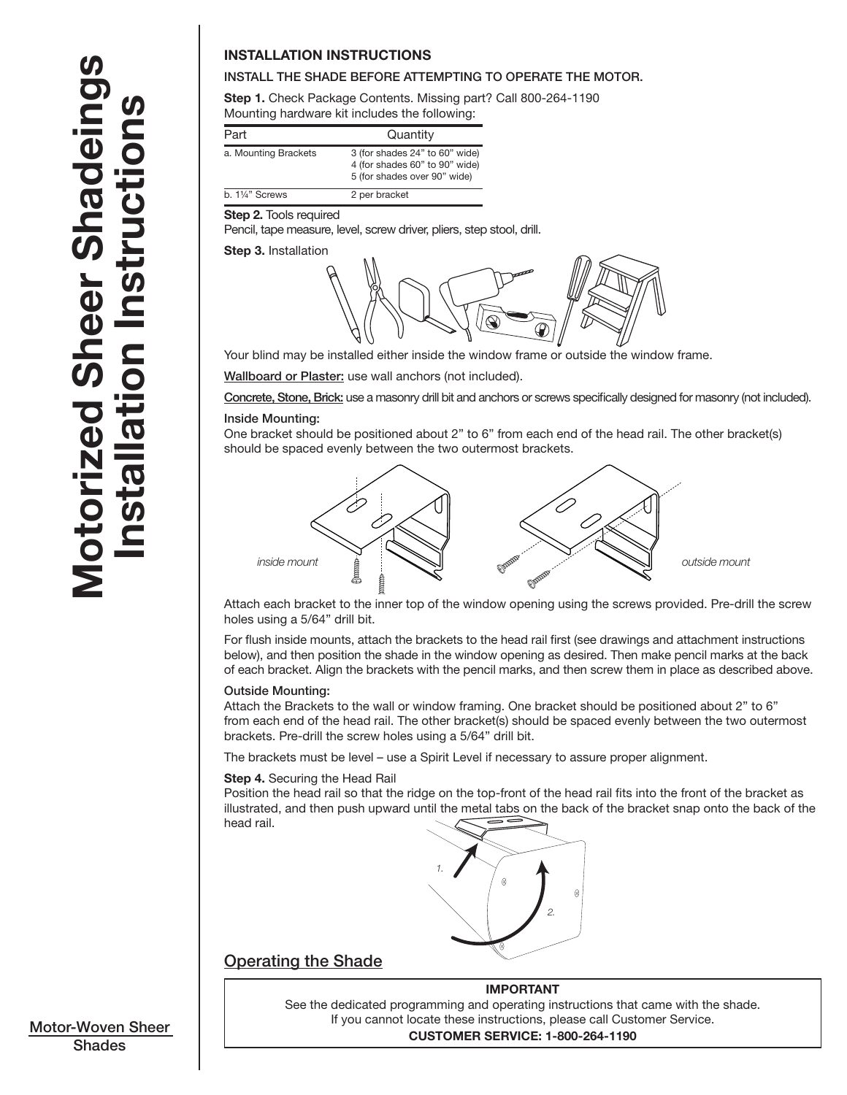# Motorized Sheer Shadeings **Notorized Sheer Shadeings** on Instructions Installation Instructions S nsta

# **INSTALLATION INSTRUCTIONS**

# INSTALL THE SHADE BEFORE ATTEMPTING TO OPERATE THE MOTOR.

**Step 1.** Check Package Contents. Missing part? Call 800-264-1190 Mounting hardware kit includes the following:

| Part                       | Quantity                                                                                         |
|----------------------------|--------------------------------------------------------------------------------------------------|
| a. Mounting Brackets       | 3 (for shades 24" to 60" wide)<br>4 (for shades 60" to 90" wide)<br>5 (for shades over 90" wide) |
| b. $1\frac{1}{4}$ " Screws | 2 per bracket                                                                                    |

#### **Step 2.** Tools required

Pencil, tape measure, level, screw driver, pliers, step stool, drill.

# **Step 3.** Installation



Your blind may be installed either inside the window frame or outside the window frame.

Wallboard or Plaster: use wall anchors (not included).

Concrete, Stone, Brick: use a masonry drill bit and anchors or screws specifically designed for masonry (not included).

#### Inside Mounting:

One bracket should be positioned about 2" to 6" from each end of the head rail. The other bracket(s) should be spaced evenly between the two outermost brackets.



Attach each bracket to the inner top of the window opening using the screws provided. Pre-drill the screw holes using a 5/64" drill bit.

For flush inside mounts, attach the brackets to the head rail first (see drawings and attachment instructions below), and then position the shade in the window opening as desired. Then make pencil marks at the back of each bracket. Align the brackets with the pencil marks, and then screw them in place as described above.

### Outside Mounting:

Attach the Brackets to the wall or window framing. One bracket should be positioned about 2" to 6" from each end of the head rail. The other bracket(s) should be spaced evenly between the two outermost brackets. Pre-drill the screw holes using a 5/64" drill bit.

The brackets must be level – use a Spirit Level if necessary to assure proper alignment.

#### **Step 4.** Securing the Head Rail

Position the head rail so that the ridge on the top-front of the head rail fits into the front of the bracket as illustrated, and then push upward until the metal tabs on the back of the bracket snap onto the back of the head rail.



# Operating the Shade

**IMPORTANT** See the dedicated programming and operating instructions that came with the shade. If you cannot locate these instructions, please call Customer Service. **CUSTOMER SERVICE: 1-800-264-1190**

Motor-Woven Sheer **Shades**